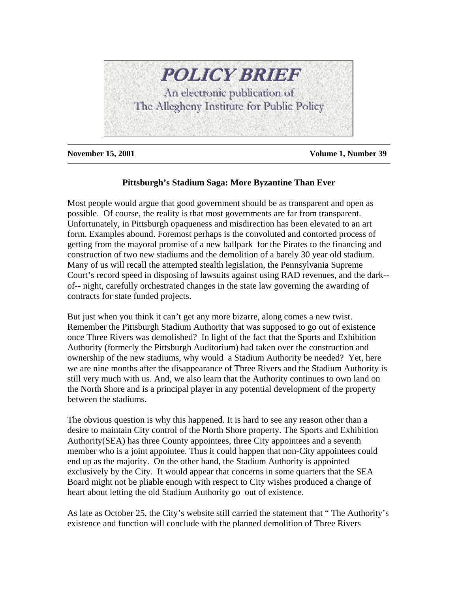

**November 15, 2001 Volume 1, Number 39**

## **Pittsburgh's Stadium Saga: More Byzantine Than Ever**

Most people would argue that good government should be as transparent and open as possible. Of course, the reality is that most governments are far from transparent. Unfortunately, in Pittsburgh opaqueness and misdirection has been elevated to an art form. Examples abound. Foremost perhaps is the convoluted and contorted process of getting from the mayoral promise of a new ballpark for the Pirates to the financing and construction of two new stadiums and the demolition of a barely 30 year old stadium. Many of us will recall the attempted stealth legislation, the Pennsylvania Supreme Court's record speed in disposing of lawsuits against using RAD revenues, and the dark- of-- night, carefully orchestrated changes in the state law governing the awarding of contracts for state funded projects.

But just when you think it can't get any more bizarre, along comes a new twist. Remember the Pittsburgh Stadium Authority that was supposed to go out of existence once Three Rivers was demolished? In light of the fact that the Sports and Exhibition Authority (formerly the Pittsburgh Auditorium) had taken over the construction and ownership of the new stadiums, why would a Stadium Authority be needed? Yet, here we are nine months after the disappearance of Three Rivers and the Stadium Authority is still very much with us. And, we also learn that the Authority continues to own land on the North Shore and is a principal player in any potential development of the property between the stadiums.

The obvious question is why this happened. It is hard to see any reason other than a desire to maintain City control of the North Shore property. The Sports and Exhibition Authority(SEA) has three County appointees, three City appointees and a seventh member who is a joint appointee. Thus it could happen that non-City appointees could end up as the majority. On the other hand, the Stadium Authority is appointed exclusively by the City. It would appear that concerns in some quarters that the SEA Board might not be pliable enough with respect to City wishes produced a change of heart about letting the old Stadium Authority go out of existence.

As late as October 25, the City's website still carried the statement that " The Authority's existence and function will conclude with the planned demolition of Three Rivers